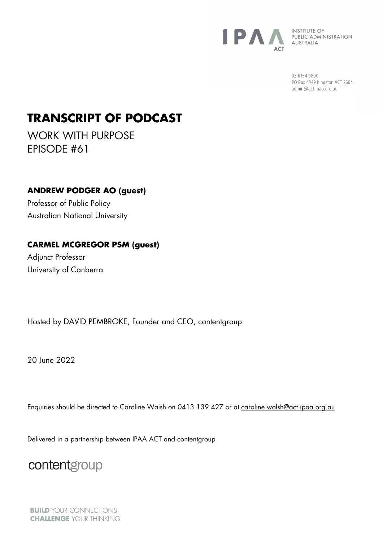

**INSTITUTE OF** PUBLIC ADMINISTRATION<br>AUSTRALIA

> 02 6154 9800 PO Box 4349 Kingston ACT 2604 admin@act.ipaa.org.au

## **TRANSCRIPT OF PODCAST**

WORK WITH PURPOSE EPISODE #61

**ANDREW PODGER AO (guest)**  Professor of Public Policy Australian National University

## **CARMEL MCGREGOR PSM (guest)**

Adjunct Professor University of Canberra

Hosted by DAVID PEMBROKE, Founder and CEO, contentgroup

20 **June 2022** 

Enquiries should be directed to Caroline Walsh on 0413 139 427 or at [caroline.walsh@act.ipaa.org.au](mailto:caroline.walsh@act.ipaa.org.au)

Delivered in a partnership between IPAA ACT and contentgroup

contentgroup

**BUILD YOUR CONNECTIONS CHALLENGE YOUR THINKING**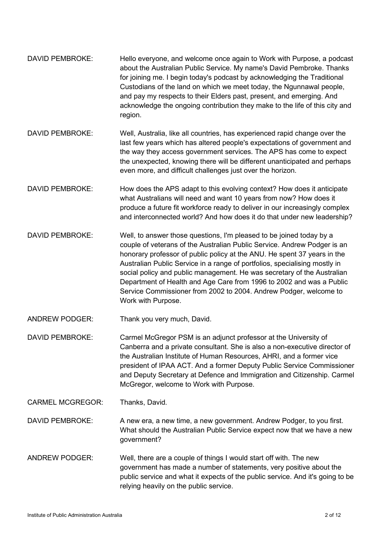| DAVID PEMBROKE:         | Hello everyone, and welcome once again to Work with Purpose, a podcast<br>about the Australian Public Service. My name's David Pembroke. Thanks<br>for joining me. I begin today's podcast by acknowledging the Traditional<br>Custodians of the land on which we meet today, the Ngunnawal people,<br>and pay my respects to their Elders past, present, and emerging. And<br>acknowledge the ongoing contribution they make to the life of this city and<br>region.                                                                                    |
|-------------------------|----------------------------------------------------------------------------------------------------------------------------------------------------------------------------------------------------------------------------------------------------------------------------------------------------------------------------------------------------------------------------------------------------------------------------------------------------------------------------------------------------------------------------------------------------------|
| <b>DAVID PEMBROKE:</b>  | Well, Australia, like all countries, has experienced rapid change over the<br>last few years which has altered people's expectations of government and<br>the way they access government services. The APS has come to expect<br>the unexpected, knowing there will be different unanticipated and perhaps<br>even more, and difficult challenges just over the horizon.                                                                                                                                                                                 |
| <b>DAVID PEMBROKE:</b>  | How does the APS adapt to this evolving context? How does it anticipate<br>what Australians will need and want 10 years from now? How does it<br>produce a future fit workforce ready to deliver in our increasingly complex<br>and interconnected world? And how does it do that under new leadership?                                                                                                                                                                                                                                                  |
| <b>DAVID PEMBROKE:</b>  | Well, to answer those questions, I'm pleased to be joined today by a<br>couple of veterans of the Australian Public Service. Andrew Podger is an<br>honorary professor of public policy at the ANU. He spent 37 years in the<br>Australian Public Service in a range of portfolios, specialising mostly in<br>social policy and public management. He was secretary of the Australian<br>Department of Health and Age Care from 1996 to 2002 and was a Public<br>Service Commissioner from 2002 to 2004. Andrew Podger, welcome to<br>Work with Purpose. |
| <b>ANDREW PODGER:</b>   | Thank you very much, David.                                                                                                                                                                                                                                                                                                                                                                                                                                                                                                                              |
| <b>DAVID PEMBROKE:</b>  | Carmel McGregor PSM is an adjunct professor at the University of<br>Canberra and a private consultant. She is also a non-executive director of<br>the Australian Institute of Human Resources, AHRI, and a former vice<br>president of IPAA ACT. And a former Deputy Public Service Commissioner<br>and Deputy Secretary at Defence and Immigration and Citizenship. Carmel<br>McGregor, welcome to Work with Purpose.                                                                                                                                   |
| <b>CARMEL MCGREGOR:</b> | Thanks, David.                                                                                                                                                                                                                                                                                                                                                                                                                                                                                                                                           |
| <b>DAVID PEMBROKE:</b>  | A new era, a new time, a new government. Andrew Podger, to you first.<br>What should the Australian Public Service expect now that we have a new<br>government?                                                                                                                                                                                                                                                                                                                                                                                          |
| <b>ANDREW PODGER:</b>   | Well, there are a couple of things I would start off with. The new<br>government has made a number of statements, very positive about the<br>public service and what it expects of the public service. And it's going to be<br>relying heavily on the public service.                                                                                                                                                                                                                                                                                    |
|                         |                                                                                                                                                                                                                                                                                                                                                                                                                                                                                                                                                          |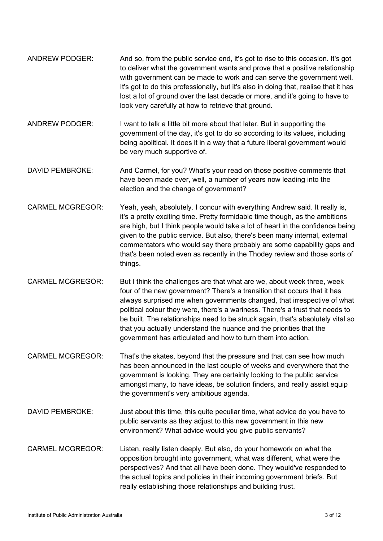- ANDREW PODGER: And so, from the public service end, it's got to rise to this occasion. It's got to deliver what the government wants and prove that a positive relationship with government can be made to work and can serve the government well. It's got to do this professionally, but it's also in doing that, realise that it has lost a lot of ground over the last decade or more, and it's going to have to look very carefully at how to retrieve that ground.
- ANDREW PODGER: I want to talk a little bit more about that later. But in supporting the government of the day, it's got to do so according to its values, including being apolitical. It does it in a way that a future liberal government would be very much supportive of.
- DAVID PEMBROKE: And Carmel, for you? What's your read on those positive comments that have been made over, well, a number of years now leading into the election and the change of government?
- CARMEL MCGREGOR: Yeah, yeah, absolutely. I concur with everything Andrew said. It really is, it's a pretty exciting time. Pretty formidable time though, as the ambitions are high, but I think people would take a lot of heart in the confidence being given to the public service. But also, there's been many internal, external commentators who would say there probably are some capability gaps and that's been noted even as recently in the Thodey review and those sorts of things.
- CARMEL MCGREGOR: But I think the challenges are that what are we, about week three, week four of the new government? There's a transition that occurs that it has always surprised me when governments changed, that irrespective of what political colour they were, there's a wariness. There's a trust that needs to be built. The relationships need to be struck again, that's absolutely vital so that you actually understand the nuance and the priorities that the government has articulated and how to turn them into action.
- CARMEL MCGREGOR: That's the skates, beyond that the pressure and that can see how much has been announced in the last couple of weeks and everywhere that the government is looking. They are certainly looking to the public service amongst many, to have ideas, be solution finders, and really assist equip the government's very ambitious agenda.
- DAVID PEMBROKE: Just about this time, this quite peculiar time, what advice do you have to public servants as they adjust to this new government in this new environment? What advice would you give public servants?
- CARMEL MCGREGOR: Listen, really listen deeply. But also, do your homework on what the opposition brought into government, what was different, what were the perspectives? And that all have been done. They would've responded to the actual topics and policies in their incoming government briefs. But really establishing those relationships and building trust.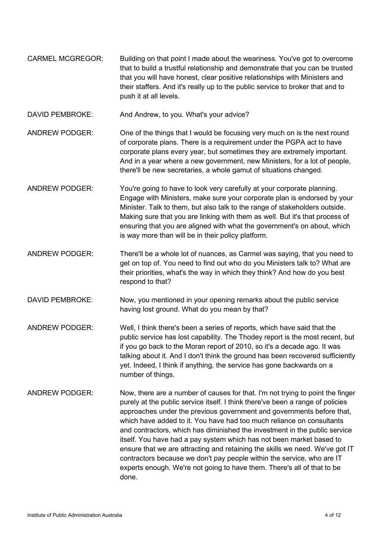- CARMEL MCGREGOR: Building on that point I made about the weariness. You've got to overcome that to build a trustful relationship and demonstrate that you can be trusted that you will have honest, clear positive relationships with Ministers and their staffers. And it's really up to the public service to broker that and to push it at all levels.
- DAVID PEMBROKE: And Andrew, to you. What's your advice?
- ANDREW PODGER: One of the things that I would be focusing very much on is the next round of corporate plans. There is a requirement under the PGPA act to have corporate plans every year, but sometimes they are extremely important. And in a year where a new government, new Ministers, for a lot of people, there'll be new secretaries, a whole gamut of situations changed.
- ANDREW PODGER: You're going to have to look very carefully at your corporate planning. Engage with Ministers, make sure your corporate plan is endorsed by your Minister. Talk to them, but also talk to the range of stakeholders outside. Making sure that you are linking with them as well. But it's that process of ensuring that you are aligned with what the government's on about, which is way more than will be in their policy platform.
- ANDREW PODGER: There'll be a whole lot of nuances, as Carmel was saying, that you need to get on top of. You need to find out who do you Ministers talk to? What are their priorities, what's the way in which they think? And how do you best respond to that?
- DAVID PEMBROKE: Now, you mentioned in your opening remarks about the public service having lost ground. What do you mean by that?
- ANDREW PODGER: Well, I think there's been a series of reports, which have said that the public service has lost capability. The Thodey report is the most recent, but if you go back to the Moran report of 2010, so it's a decade ago. It was talking about it. And I don't think the ground has been recovered sufficiently yet. Indeed, I think if anything, the service has gone backwards on a number of things.
- ANDREW PODGER: Now, there are a number of causes for that. I'm not trying to point the finger purely at the public service itself. I think there've been a range of policies approaches under the previous government and governments before that, which have added to it. You have had too much reliance on consultants and contractors, which has diminished the investment in the public service itself. You have had a pay system which has not been market based to ensure that we are attracting and retaining the skills we need. We've got IT contractors because we don't pay people within the service, who are IT experts enough. We're not going to have them. There's all of that to be done.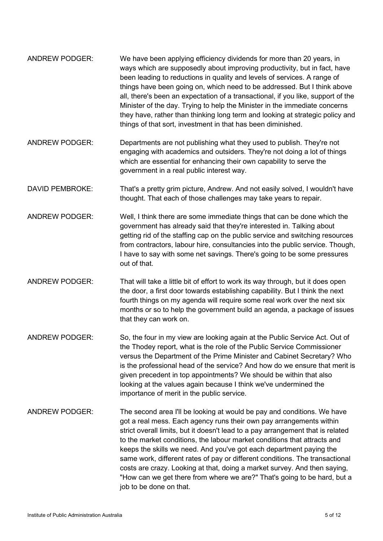| We have been applying efficiency dividends for more than 20 years, in<br>ways which are supposedly about improving productivity, but in fact, have<br>been leading to reductions in quality and levels of services. A range of<br>things have been going on, which need to be addressed. But I think above<br>all, there's been an expectation of a transactional, if you like, support of the<br>Minister of the day. Trying to help the Minister in the immediate concerns<br>they have, rather than thinking long term and looking at strategic policy and<br>things of that sort, investment in that has been diminished.                            |
|----------------------------------------------------------------------------------------------------------------------------------------------------------------------------------------------------------------------------------------------------------------------------------------------------------------------------------------------------------------------------------------------------------------------------------------------------------------------------------------------------------------------------------------------------------------------------------------------------------------------------------------------------------|
| Departments are not publishing what they used to publish. They're not<br>engaging with academics and outsiders. They're not doing a lot of things<br>which are essential for enhancing their own capability to serve the<br>government in a real public interest way.                                                                                                                                                                                                                                                                                                                                                                                    |
| That's a pretty grim picture, Andrew. And not easily solved, I wouldn't have<br>thought. That each of those challenges may take years to repair.                                                                                                                                                                                                                                                                                                                                                                                                                                                                                                         |
| Well, I think there are some immediate things that can be done which the<br>government has already said that they're interested in. Talking about<br>getting rid of the staffing cap on the public service and switching resources<br>from contractors, labour hire, consultancies into the public service. Though,<br>I have to say with some net savings. There's going to be some pressures<br>out of that.                                                                                                                                                                                                                                           |
| That will take a little bit of effort to work its way through, but it does open<br>the door, a first door towards establishing capability. But I think the next<br>fourth things on my agenda will require some real work over the next six<br>months or so to help the government build an agenda, a package of issues<br>that they can work on.                                                                                                                                                                                                                                                                                                        |
| So, the four in my view are looking again at the Public Service Act. Out of<br>the Thodey report, what is the role of the Public Service Commissioner<br>versus the Department of the Prime Minister and Cabinet Secretary? Who<br>is the professional head of the service? And how do we ensure that merit is<br>given precedent in top appointments? We should be within that also<br>looking at the values again because I think we've undermined the<br>importance of merit in the public service.                                                                                                                                                   |
| The second area I'll be looking at would be pay and conditions. We have<br>got a real mess. Each agency runs their own pay arrangements within<br>strict overall limits, but it doesn't lead to a pay arrangement that is related<br>to the market conditions, the labour market conditions that attracts and<br>keeps the skills we need. And you've got each department paying the<br>same work, different rates of pay or different conditions. The transactional<br>costs are crazy. Looking at that, doing a market survey. And then saying,<br>"How can we get there from where we are?" That's going to be hard, but a<br>job to be done on that. |
|                                                                                                                                                                                                                                                                                                                                                                                                                                                                                                                                                                                                                                                          |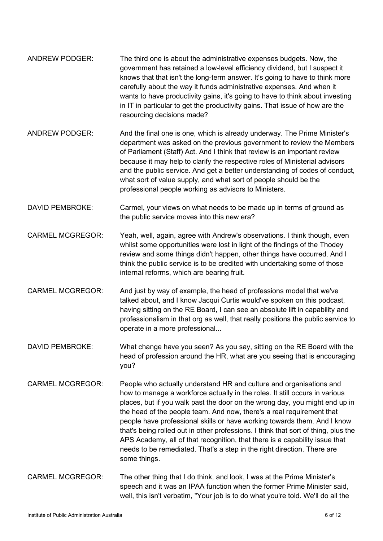- ANDREW PODGER: The third one is about the administrative expenses budgets. Now, the government has retained a low-level efficiency dividend, but I suspect it knows that that isn't the long-term answer. It's going to have to think more carefully about the way it funds administrative expenses. And when it wants to have productivity gains, it's going to have to think about investing in IT in particular to get the productivity gains. That issue of how are the resourcing decisions made? ANDREW PODGER: And the final one is one, which is already underway. The Prime Minister's department was asked on the previous government to review the Members of Parliament (Staff) Act. And I think that review is an important review because it may help to clarify the respective roles of Ministerial advisors and the public service. And get a better understanding of codes of conduct, what sort of value supply, and what sort of people should be the professional people working as advisors to Ministers. DAVID PEMBROKE: Carmel, your views on what needs to be made up in terms of ground as the public service moves into this new era? CARMEL MCGREGOR: Yeah, well, again, agree with Andrew's observations. I think though, even whilst some opportunities were lost in light of the findings of the Thodey review and some things didn't happen, other things have occurred. And I think the public service is to be credited with undertaking some of those internal reforms, which are bearing fruit. CARMEL MCGREGOR: And just by way of example, the head of professions model that we've talked about, and I know Jacqui Curtis would've spoken on this podcast, having sitting on the RE Board, I can see an absolute lift in capability and professionalism in that org as well, that really positions the public service to operate in a more professional... DAVID PEMBROKE: What change have you seen? As you say, sitting on the RE Board with the head of profession around the HR, what are you seeing that is encouraging you? CARMEL MCGREGOR: People who actually understand HR and culture and organisations and how to manage a workforce actually in the roles. It still occurs in various places, but if you walk past the door on the wrong day, you might end up in the head of the people team. And now, there's a real requirement that people have professional skills or have working towards them. And I know that's being rolled out in other professions. I think that sort of thing, plus the
	- APS Academy, all of that recognition, that there is a capability issue that needs to be remediated. That's a step in the right direction. There are some things.
- CARMEL MCGREGOR: The other thing that I do think, and look, I was at the Prime Minister's speech and it was an IPAA function when the former Prime Minister said, well, this isn't verbatim, "Your job is to do what you're told. We'll do all the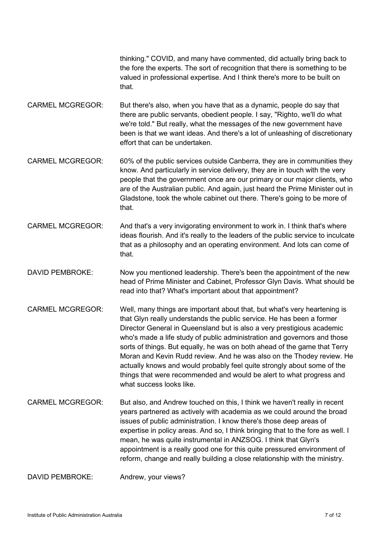thinking." COVID, and many have commented, did actually bring back to the fore the experts. The sort of recognition that there is something to be valued in professional expertise. And I think there's more to be built on that.

- CARMEL MCGREGOR: But there's also, when you have that as a dynamic, people do say that there are public servants, obedient people. I say, "Righto, we'll do what we're told." But really, what the messages of the new government have been is that we want ideas. And there's a lot of unleashing of discretionary effort that can be undertaken.
- CARMEL MCGREGOR: 60% of the public services outside Canberra, they are in communities they know. And particularly in service delivery, they are in touch with the very people that the government once are our primary or our major clients, who are of the Australian public. And again, just heard the Prime Minister out in Gladstone, took the whole cabinet out there. There's going to be more of that.
- CARMEL MCGREGOR: And that's a very invigorating environment to work in. I think that's where ideas flourish. And it's really to the leaders of the public service to inculcate that as a philosophy and an operating environment. And lots can come of that.
- DAVID PEMBROKE: Now you mentioned leadership. There's been the appointment of the new head of Prime Minister and Cabinet, Professor Glyn Davis. What should be read into that? What's important about that appointment?
- CARMEL MCGREGOR: Well, many things are important about that, but what's very heartening is that Glyn really understands the public service. He has been a former Director General in Queensland but is also a very prestigious academic who's made a life study of public administration and governors and those sorts of things. But equally, he was on both ahead of the game that Terry Moran and Kevin Rudd review. And he was also on the Thodey review. He actually knows and would probably feel quite strongly about some of the things that were recommended and would be alert to what progress and what success looks like.
- CARMEL MCGREGOR: But also, and Andrew touched on this, I think we haven't really in recent years partnered as actively with academia as we could around the broad issues of public administration. I know there's those deep areas of expertise in policy areas. And so, I think bringing that to the fore as well. I mean, he was quite instrumental in ANZSOG. I think that Glyn's appointment is a really good one for this quite pressured environment of reform, change and really building a close relationship with the ministry.

DAVID PEMBROKE: Andrew, your views?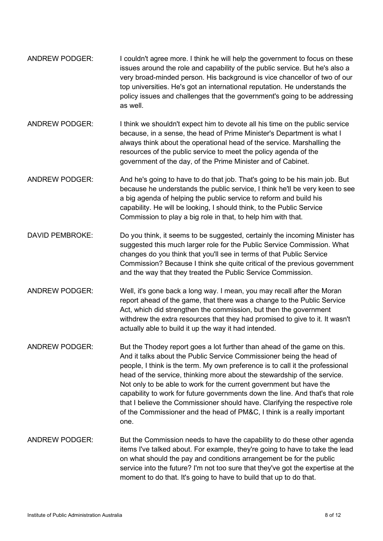- ANDREW PODGER: I couldn't agree more. I think he will help the government to focus on these issues around the role and capability of the public service. But he's also a very broad-minded person. His background is vice chancellor of two of our top universities. He's got an international reputation. He understands the policy issues and challenges that the government's going to be addressing as well.
- ANDREW PODGER: I think we shouldn't expect him to devote all his time on the public service because, in a sense, the head of Prime Minister's Department is what I always think about the operational head of the service. Marshalling the resources of the public service to meet the policy agenda of the government of the day, of the Prime Minister and of Cabinet.
- ANDREW PODGER: And he's going to have to do that job. That's going to be his main job. But because he understands the public service, I think he'll be very keen to see a big agenda of helping the public service to reform and build his capability. He will be looking, I should think, to the Public Service Commission to play a big role in that, to help him with that.
- DAVID PEMBROKE: Do you think, it seems to be suggested, certainly the incoming Minister has suggested this much larger role for the Public Service Commission. What changes do you think that you'll see in terms of that Public Service Commission? Because I think she quite critical of the previous government and the way that they treated the Public Service Commission.
- ANDREW PODGER: Well, it's gone back a long way. I mean, you may recall after the Moran report ahead of the game, that there was a change to the Public Service Act, which did strengthen the commission, but then the government withdrew the extra resources that they had promised to give to it. It wasn't actually able to build it up the way it had intended.
- ANDREW PODGER: But the Thodey report goes a lot further than ahead of the game on this. And it talks about the Public Service Commissioner being the head of people, I think is the term. My own preference is to call it the professional head of the service, thinking more about the stewardship of the service. Not only to be able to work for the current government but have the capability to work for future governments down the line. And that's that role that I believe the Commissioner should have. Clarifying the respective role of the Commissioner and the head of PM&C, I think is a really important one.
- ANDREW PODGER: But the Commission needs to have the capability to do these other agenda items I've talked about. For example, they're going to have to take the lead on what should the pay and conditions arrangement be for the public service into the future? I'm not too sure that they've got the expertise at the moment to do that. It's going to have to build that up to do that.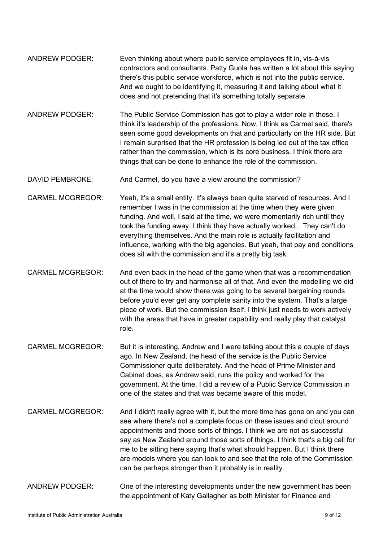- ANDREW PODGER: Even thinking about where public service employees fit in, vis-à-vis contractors and consultants. Patty Guola has written a lot about this saying there's this public service workforce, which is not into the public service. And we ought to be identifying it, measuring it and talking about what it does and not pretending that it's something totally separate.
- ANDREW PODGER: The Public Service Commission has got to play a wider role in those. I think it's leadership of the professions. Now, I think as Carmel said, there's seen some good developments on that and particularly on the HR side. But I remain surprised that the HR profession is being led out of the tax office rather than the commission, which is its core business. I think there are things that can be done to enhance the role of the commission.
- DAVID PEMBROKE: And Carmel, do you have a view around the commission?
- CARMEL MCGREGOR: Yeah, it's a small entity. It's always been quite starved of resources. And I remember I was in the commission at the time when they were given funding. And well, I said at the time, we were momentarily rich until they took the funding away. I think they have actually worked... They can't do everything themselves. And the main role is actually facilitation and influence, working with the big agencies. But yeah, that pay and conditions does sit with the commission and it's a pretty big task.
- CARMEL MCGREGOR: And even back in the head of the game when that was a recommendation out of there to try and harmonise all of that. And even the modelling we did at the time would show there was going to be several bargaining rounds before you'd ever get any complete sanity into the system. That's a large piece of work. But the commission itself, I think just needs to work actively with the areas that have in greater capability and really play that catalyst role.
- CARMEL MCGREGOR: But it is interesting, Andrew and I were talking about this a couple of days ago. In New Zealand, the head of the service is the Public Service Commissioner quite deliberately. And the head of Prime Minister and Cabinet does, as Andrew said, runs the policy and worked for the government. At the time, I did a review of a Public Service Commission in one of the states and that was became aware of this model.
- CARMEL MCGREGOR: And I didn't really agree with it, but the more time has gone on and you can see where there's not a complete focus on these issues and clout around appointments and those sorts of things. I think we are not as successful say as New Zealand around those sorts of things. I think that's a big call for me to be sitting here saying that's what should happen. But I think there are models where you can look to and see that the role of the Commission can be perhaps stronger than it probably is in reality.
- ANDREW PODGER: One of the interesting developments under the new government has been the appointment of Katy Gallagher as both Minister for Finance and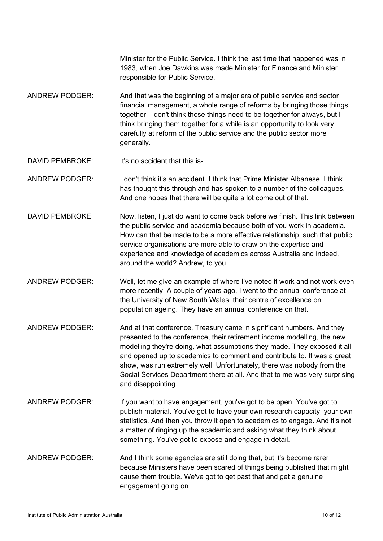Minister for the Public Service. I think the last time that happened was in 1983, when Joe Dawkins was made Minister for Finance and Minister responsible for Public Service.

- ANDREW PODGER: And that was the beginning of a major era of public service and sector financial management, a whole range of reforms by bringing those things together. I don't think those things need to be together for always, but I think bringing them together for a while is an opportunity to look very carefully at reform of the public service and the public sector more generally.
- DAVID PEMBROKE lt's no accident that this is-

ANDREW PODGER: I don't think it's an accident. I think that Prime Minister Albanese, I think has thought this through and has spoken to a number of the colleagues. And one hopes that there will be quite a lot come out of that.

- DAVID PEMBROKE: Now, listen, I just do want to come back before we finish. This link between the public service and academia because both of you work in academia. How can that be made to be a more effective relationship, such that public service organisations are more able to draw on the expertise and experience and knowledge of academics across Australia and indeed, around the world? Andrew, to you.
- ANDREW PODGER: Well, let me give an example of where I've noted it work and not work even more recently. A couple of years ago, I went to the annual conference at the University of New South Wales, their centre of excellence on population ageing. They have an annual conference on that.
- ANDREW PODGER: And at that conference, Treasury came in significant numbers. And they presented to the conference, their retirement income modelling, the new modelling they're doing, what assumptions they made. They exposed it all and opened up to academics to comment and contribute to. It was a great show, was run extremely well. Unfortunately, there was nobody from the Social Services Department there at all. And that to me was very surprising and disappointing.
- ANDREW PODGER: If you want to have engagement, you've got to be open. You've got to publish material. You've got to have your own research capacity, your own statistics. And then you throw it open to academics to engage. And it's not a matter of ringing up the academic and asking what they think about something. You've got to expose and engage in detail.
- ANDREW PODGER: And I think some agencies are still doing that, but it's become rarer because Ministers have been scared of things being published that might cause them trouble. We've got to get past that and get a genuine engagement going on.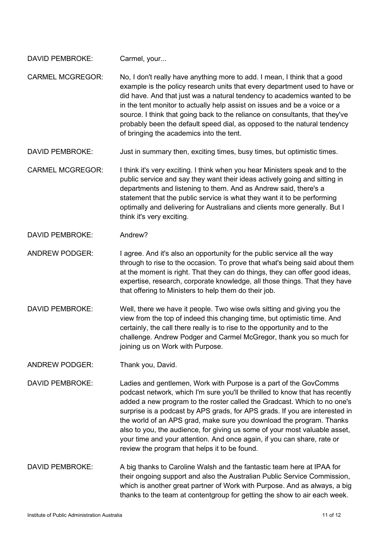| <b>DAVID PEMBROKE:</b> | Carmel, your |
|------------------------|--------------|
|------------------------|--------------|

CARMEL MCGREGOR: No, I don't really have anything more to add. I mean, I think that a good example is the policy research units that every department used to have or did have. And that just was a natural tendency to academics wanted to be in the tent monitor to actually help assist on issues and be a voice or a source. I think that going back to the reliance on consultants, that they've probably been the default speed dial, as opposed to the natural tendency of bringing the academics into the tent.

DAVID PEMBROKE: Just in summary then, exciting times, busy times, but optimistic times.

CARMEL MCGREGOR: I think it's very exciting. I think when you hear Ministers speak and to the public service and say they want their ideas actively going and sitting in departments and listening to them. And as Andrew said, there's a statement that the public service is what they want it to be performing optimally and delivering for Australians and clients more generally. But I think it's very exciting.

DAVID PFMBROKE: Andrew?

ANDREW PODGER: I agree. And it's also an opportunity for the public service all the way through to rise to the occasion. To prove that what's being said about them at the moment is right. That they can do things, they can offer good ideas, expertise, research, corporate knowledge, all those things. That they have that offering to Ministers to help them do their job.

DAVID PEMBROKE: Well, there we have it people. Two wise owls sitting and giving you the view from the top of indeed this changing time, but optimistic time. And certainly, the call there really is to rise to the opportunity and to the challenge. Andrew Podger and Carmel McGregor, thank you so much for joining us on Work with Purpose.

ANDREW PODGER: Thank you, David.

DAVID PEMBROKE: Ladies and gentlemen, Work with Purpose is a part of the GovComms podcast network, which I'm sure you'll be thrilled to know that has recently added a new program to the roster called the Gradcast. Which to no one's surprise is a podcast by APS grads, for APS grads. If you are interested in the world of an APS grad, make sure you download the program. Thanks also to you, the audience, for giving us some of your most valuable asset, your time and your attention. And once again, if you can share, rate or review the program that helps it to be found.

DAVID PEMBROKE: A big thanks to Caroline Walsh and the fantastic team here at IPAA for their ongoing support and also the Australian Public Service Commission, which is another great partner of Work with Purpose. And as always, a big thanks to the team at contentgroup for getting the show to air each week.